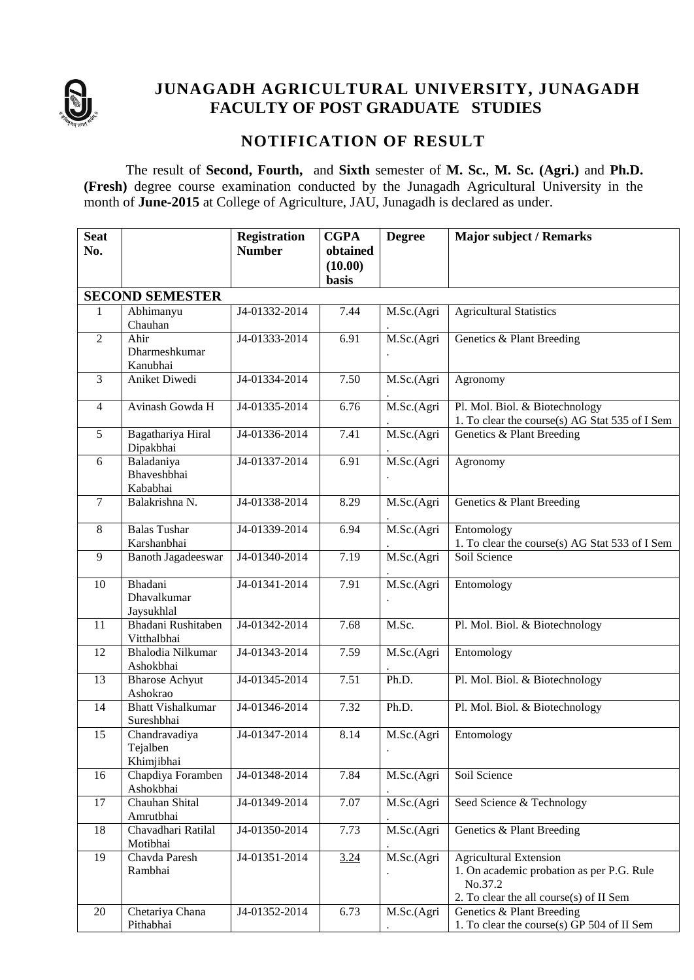

# **JUNAGADH AGRICULTURAL UNIVERSITY, JUNAGADH FACULTY OF POST GRADUATE STUDIES**

# **NOTIFICATION OF RESULT**

The result of **Second, Fourth,** and **Sixth** semester of **M. Sc.**, **M. Sc. (Agri.)** and **Ph.D. (Fresh)** degree course examination conducted by the Junagadh Agricultural University in the month of **June-2015** at College of Agriculture, JAU, Junagadh is declared as under.

| <b>Seat</b><br>No. |                                         | <b>Registration</b><br><b>Number</b> | <b>CGPA</b><br>obtained | <b>Degree</b> | <b>Major subject / Remarks</b>                                                                                                   |
|--------------------|-----------------------------------------|--------------------------------------|-------------------------|---------------|----------------------------------------------------------------------------------------------------------------------------------|
|                    |                                         |                                      | (10.00)<br><b>basis</b> |               |                                                                                                                                  |
|                    | <b>SECOND SEMESTER</b>                  |                                      |                         |               |                                                                                                                                  |
| 1                  | Abhimanyu<br>Chauhan                    | J4-01332-2014                        | 7.44                    | M.Sc.(Agri    | <b>Agricultural Statistics</b>                                                                                                   |
| $\overline{2}$     | Ahir<br>Dharmeshkumar<br>Kanubhai       | J4-01333-2014                        | 6.91                    | M.Sc.(Agri    | Genetics & Plant Breeding                                                                                                        |
| 3                  | Aniket Diwedi                           | J4-01334-2014                        | 7.50                    | M.Sc.(Agri    | Agronomy                                                                                                                         |
| 4                  | Avinash Gowda H                         | J4-01335-2014                        | 6.76                    | M.Sc.(Agri    | Pl. Mol. Biol. & Biotechnology<br>1. To clear the course(s) AG Stat 535 of I Sem                                                 |
| 5                  | Bagathariya Hiral<br>Dipakbhai          | J4-01336-2014                        | 7.41                    | M.Sc.(Agri    | Genetics & Plant Breeding                                                                                                        |
| 6                  | Baladaniya<br>Bhaveshbhai<br>Kababhai   | J4-01337-2014                        | 6.91                    | M.Sc.(Agri    | Agronomy                                                                                                                         |
| $\overline{7}$     | Balakrishna N.                          | J4-01338-2014                        | 8.29                    | M.Sc.(Agri    | Genetics & Plant Breeding                                                                                                        |
| 8                  | <b>Balas Tushar</b><br>Karshanbhai      | J4-01339-2014                        | 6.94                    | M.Sc.(Agri    | Entomology<br>1. To clear the course(s) AG Stat 533 of I Sem                                                                     |
| 9                  | <b>Banoth Jagadeeswar</b>               | J4-01340-2014                        | 7.19                    | M.Sc.(Agri    | Soil Science                                                                                                                     |
| 10                 | Bhadani<br>Dhavalkumar<br>Jaysukhlal    | J4-01341-2014                        | 7.91                    | M.Sc.(Agri    | Entomology                                                                                                                       |
| 11                 | Bhadani Rushitaben<br>Vitthalbhai       | J4-01342-2014                        | 7.68                    | M.Sc.         | Pl. Mol. Biol. & Biotechnology                                                                                                   |
| 12                 | Bhalodia Nilkumar<br>Ashokbhai          | J4-01343-2014                        | 7.59                    | M.Sc.(Agri    | Entomology                                                                                                                       |
| 13                 | <b>Bharose Achyut</b><br>Ashokrao       | J4-01345-2014                        | 7.51                    | Ph.D.         | Pl. Mol. Biol. & Biotechnology                                                                                                   |
| 14                 | <b>Bhatt Vishalkumar</b><br>Sureshbhai  | J4-01346-2014                        | 7.32                    | Ph.D.         | Pl. Mol. Biol. & Biotechnology                                                                                                   |
| 15                 | Chandravadiya<br>Tejalben<br>Khimjibhai | J4-01347-2014                        | 8.14                    | M.Sc.(Agri    | Entomology                                                                                                                       |
| 16                 | Chapdiya Foramben<br>Ashokbhai          | J4-01348-2014                        | 7.84                    | M.Sc.(Agri    | Soil Science                                                                                                                     |
| 17                 | Chauhan Shital<br>Amrutbhai             | J4-01349-2014                        | 7.07                    | M.Sc.(Agri    | Seed Science & Technology                                                                                                        |
| 18                 | Chavadhari Ratilal<br>Motibhai          | J4-01350-2014                        | 7.73                    | M.Sc.(Agri    | Genetics & Plant Breeding                                                                                                        |
| 19                 | Chavda Paresh<br>Rambhai                | J4-01351-2014                        | 3.24                    | M.Sc.(Agri    | <b>Agricultural Extension</b><br>1. On academic probation as per P.G. Rule<br>No.37.2<br>2. To clear the all course(s) of II Sem |
| 20                 | Chetariya Chana<br>Pithabhai            | J4-01352-2014                        | 6.73                    | M.Sc.(Agri    | Genetics & Plant Breeding<br>1. To clear the course(s) GP 504 of II Sem                                                          |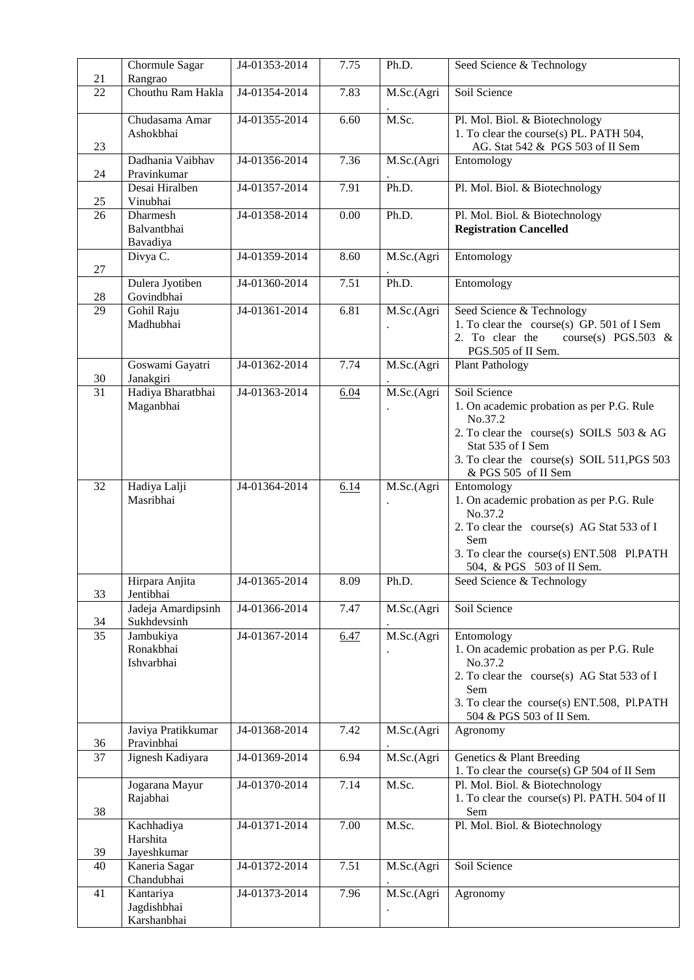| 21              | Chormule Sagar<br>Rangrao               | J4-01353-2014              | 7.75 | Ph.D.      | Seed Science & Technology                                                                                                                                                                                             |
|-----------------|-----------------------------------------|----------------------------|------|------------|-----------------------------------------------------------------------------------------------------------------------------------------------------------------------------------------------------------------------|
| 22              | Chouthu Ram Hakla                       | J4-01354-2014              | 7.83 | M.Sc.(Agri | Soil Science                                                                                                                                                                                                          |
| 23              | Chudasama Amar<br>Ashokbhai             | J4-01355-2014              | 6.60 | M.Sc.      | Pl. Mol. Biol. & Biotechnology<br>1. To clear the course(s) PL. PATH 504,<br>AG. Stat 542 & PGS 503 of II Sem                                                                                                         |
| 24              | Dadhania Vaibhav<br>Pravinkumar         | J4-01356-2014              | 7.36 | M.Sc.(Agri | Entomology                                                                                                                                                                                                            |
| 25              | Desai Hiralben<br>Vinubhai              | J4-01357-2014              | 7.91 | Ph.D.      | Pl. Mol. Biol. & Biotechnology                                                                                                                                                                                        |
| 26              | Dharmesh<br>Balvantbhai<br>Bavadiya     | J4-01358-2014              | 0.00 | Ph.D.      | Pl. Mol. Biol. & Biotechnology<br><b>Registration Cancelled</b>                                                                                                                                                       |
| 27              | Divya C.                                | J4-01359-2014              | 8.60 | M.Sc.(Agri | Entomology                                                                                                                                                                                                            |
| 28              | Dulera Jyotiben<br>Govindbhai           | J4-01360-2014              | 7.51 | Ph.D.      | Entomology                                                                                                                                                                                                            |
| $\overline{29}$ | Gohil Raju<br>Madhubhai                 | J4-01361-2014              | 6.81 | M.Sc.(Agri | Seed Science & Technology<br>1. To clear the course(s) GP. 501 of I Sem<br>2. To clear the<br>course(s) PGS.503 &<br>PGS.505 of II Sem.                                                                               |
| 30              | Goswami Gayatri<br>Janakgiri            | J4-01362-2014              | 7.74 | M.Sc.(Agri | <b>Plant Pathology</b>                                                                                                                                                                                                |
| $\overline{31}$ | Hadiya Bharatbhai<br>Maganbhai          | J4-01363-2014              | 6.04 | M.Sc.(Agri | Soil Science<br>1. On academic probation as per P.G. Rule<br>No.37.2<br>2. To clear the course(s) SOILS $503 \& \text{AG}$<br>Stat 535 of I Sem<br>3. To clear the course(s) SOIL 511, PGS 503<br>& PGS 505 of II Sem |
| 32              | Hadiya Lalji<br>Masribhai               | J4-01364-2014              | 6.14 | M.Sc.(Agri | Entomology<br>1. On academic probation as per P.G. Rule<br>No.37.2<br>2. To clear the course(s) AG Stat 533 of I<br>Sem<br>3. To clear the course(s) ENT.508 Pl.PATH<br>504, & PGS 503 of II Sem.                     |
| 33              | Hirpara Anjita<br>Jentibhai             | $\overline{J4-01365-2014}$ | 8.09 | Ph.D.      | Seed Science & Technology                                                                                                                                                                                             |
| 34              | Jadeja Amardipsinh<br>Sukhdevsinh       | J4-01366-2014              | 7.47 | M.Sc.(Agri | Soil Science                                                                                                                                                                                                          |
| $\overline{35}$ | Jambukiya<br>Ronakbhai<br>Ishvarbhai    | J4-01367-2014              | 6.47 | M.Sc.(Agri | Entomology<br>1. On academic probation as per P.G. Rule<br>No.37.2<br>2. To clear the course(s) AG Stat 533 of I<br>Sem<br>3. To clear the course(s) ENT.508, Pl.PATH<br>504 & PGS 503 of II Sem.                     |
| 36              | Javiya Pratikkumar<br>Pravinbhai        | J4-01368-2014              | 7.42 | M.Sc.(Agri | Agronomy                                                                                                                                                                                                              |
| 37              | Jignesh Kadiyara                        | J4-01369-2014              | 6.94 | M.Sc.(Agri | Genetics & Plant Breeding<br>1. To clear the course(s) GP 504 of II Sem                                                                                                                                               |
| 38              | Jogarana Mayur<br>Rajabhai              | J4-01370-2014              | 7.14 | M.Sc.      | Pl. Mol. Biol. & Biotechnology<br>1. To clear the course(s) Pl. PATH. 504 of II<br>Sem                                                                                                                                |
| 39              | Kachhadiya<br>Harshita<br>Jayeshkumar   | J4-01371-2014              | 7.00 | M.Sc.      | Pl. Mol. Biol. & Biotechnology                                                                                                                                                                                        |
| 40              | Kaneria Sagar<br>Chandubhai             | J4-01372-2014              | 7.51 | M.Sc.(Agri | Soil Science                                                                                                                                                                                                          |
| 41              | Kantariya<br>Jagdishbhai<br>Karshanbhai | J4-01373-2014              | 7.96 | M.Sc.(Agri | Agronomy                                                                                                                                                                                                              |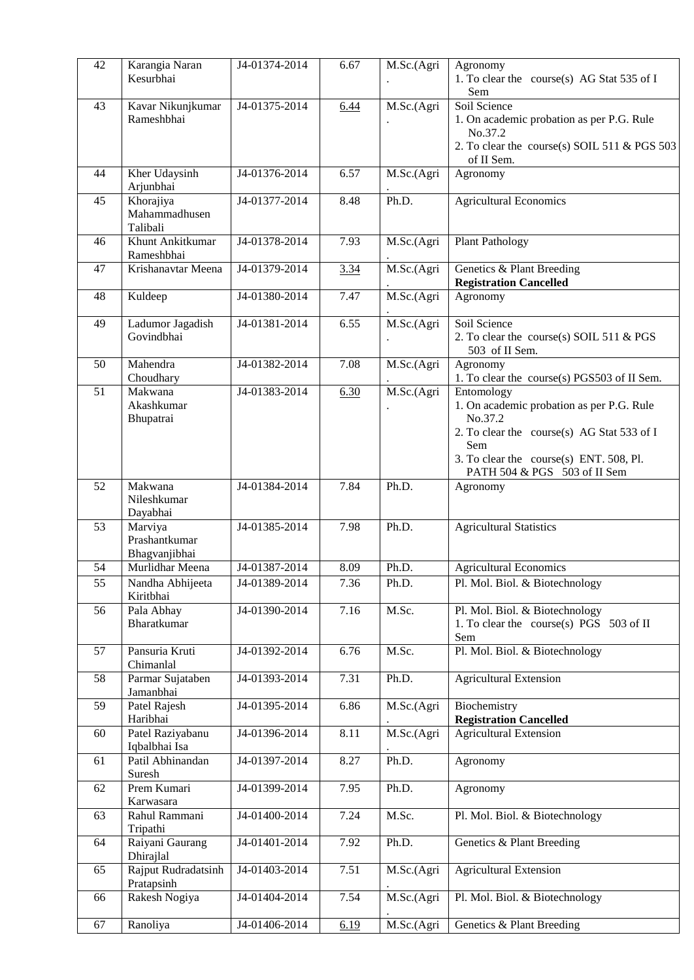| 42 | Karangia Naran<br>Kesurbhai               | J4-01374-2014 | 6.67 | M.Sc.(Agri | Agronomy<br>1. To clear the course(s) AG Stat 535 of I<br>Sem                                                                                                                                      |
|----|-------------------------------------------|---------------|------|------------|----------------------------------------------------------------------------------------------------------------------------------------------------------------------------------------------------|
| 43 | Kavar Nikunjkumar<br>Rameshbhai           | J4-01375-2014 | 6.44 | M.Sc.(Agri | Soil Science<br>1. On academic probation as per P.G. Rule<br>No.37.2<br>2. To clear the course(s) SOIL 511 & PGS 503<br>of II Sem.                                                                 |
| 44 | Kher Udaysinh<br>Arjunbhai                | J4-01376-2014 | 6.57 | M.Sc.(Agri | Agronomy                                                                                                                                                                                           |
| 45 | Khorajiya<br>Mahammadhusen<br>Talibali    | J4-01377-2014 | 8.48 | Ph.D.      | Agricultural Economics                                                                                                                                                                             |
| 46 | Khunt Ankitkumar<br>Rameshbhai            | J4-01378-2014 | 7.93 | M.Sc.(Agri | <b>Plant Pathology</b>                                                                                                                                                                             |
| 47 | Krishanavtar Meena                        | J4-01379-2014 | 3.34 | M.Sc.(Agri | Genetics & Plant Breeding<br><b>Registration Cancelled</b>                                                                                                                                         |
| 48 | Kuldeep                                   | J4-01380-2014 | 7.47 | M.Sc.(Agri | Agronomy                                                                                                                                                                                           |
| 49 | Ladumor Jagadish<br>Govindbhai            | J4-01381-2014 | 6.55 | M.Sc.(Agri | Soil Science<br>2. To clear the course(s) SOIL 511 & PGS<br>503 of II Sem.                                                                                                                         |
| 50 | Mahendra<br>Choudhary                     | J4-01382-2014 | 7.08 | M.Sc.(Agri | Agronomy<br>1. To clear the course(s) PGS503 of II Sem.                                                                                                                                            |
| 51 | Makwana<br>Akashkumar<br>Bhupatrai        | J4-01383-2014 | 6.30 | M.Sc.(Agri | Entomology<br>1. On academic probation as per P.G. Rule<br>No.37.2<br>2. To clear the course(s) AG Stat 533 of I<br>Sem<br>3. To clear the course(s) ENT. 508, Pl.<br>PATH 504 & PGS 503 of II Sem |
| 52 | Makwana<br>Nileshkumar<br>Dayabhai        | J4-01384-2014 | 7.84 | Ph.D.      | Agronomy                                                                                                                                                                                           |
| 53 | Marviya<br>Prashantkumar<br>Bhagvanjibhai | J4-01385-2014 | 7.98 | Ph.D.      | <b>Agricultural Statistics</b>                                                                                                                                                                     |
| 54 | Murlidhar Meena                           | J4-01387-2014 | 8.09 | Ph.D.      | <b>Agricultural Economics</b>                                                                                                                                                                      |
| 55 | Nandha Abhijeeta<br>Kiritbhai             | J4-01389-2014 | 7.36 | Ph.D.      | Pl. Mol. Biol. & Biotechnology                                                                                                                                                                     |
| 56 | Pala Abhay<br>Bharatkumar                 | J4-01390-2014 | 7.16 | M.Sc.      | Pl. Mol. Biol. & Biotechnology<br>1. To clear the course(s) PGS 503 of II<br>Sem                                                                                                                   |
| 57 | Pansuria Kruti<br>Chimanlal               | J4-01392-2014 | 6.76 | M.Sc.      | Pl. Mol. Biol. & Biotechnology                                                                                                                                                                     |
| 58 | Parmar Sujataben<br>Jamanbhai             | J4-01393-2014 | 7.31 | Ph.D.      | <b>Agricultural Extension</b>                                                                                                                                                                      |
| 59 | Patel Rajesh<br>Haribhai                  | J4-01395-2014 | 6.86 | M.Sc.(Agri | Biochemistry<br><b>Registration Cancelled</b>                                                                                                                                                      |
| 60 | Patel Raziyabanu<br>Iqbalbhai Isa         | J4-01396-2014 | 8.11 | M.Sc.(Agri | <b>Agricultural Extension</b>                                                                                                                                                                      |
| 61 | Patil Abhinandan<br>Suresh                | J4-01397-2014 | 8.27 | Ph.D.      | Agronomy                                                                                                                                                                                           |
| 62 | Prem Kumari<br>Karwasara                  | J4-01399-2014 | 7.95 | Ph.D.      | Agronomy                                                                                                                                                                                           |
| 63 | Rahul Rammani<br>Tripathi                 | J4-01400-2014 | 7.24 | M.Sc.      | Pl. Mol. Biol. & Biotechnology                                                                                                                                                                     |
| 64 | Raiyani Gaurang<br>Dhirajlal              | J4-01401-2014 | 7.92 | Ph.D.      | Genetics & Plant Breeding                                                                                                                                                                          |
| 65 | Rajput Rudradatsinh<br>Pratapsinh         | J4-01403-2014 | 7.51 | M.Sc.(Agri | <b>Agricultural Extension</b>                                                                                                                                                                      |
| 66 | Rakesh Nogiya                             | J4-01404-2014 | 7.54 | M.Sc.(Agri | Pl. Mol. Biol. & Biotechnology                                                                                                                                                                     |
| 67 | Ranoliya                                  | J4-01406-2014 | 6.19 | M.Sc.(Agri | Genetics & Plant Breeding                                                                                                                                                                          |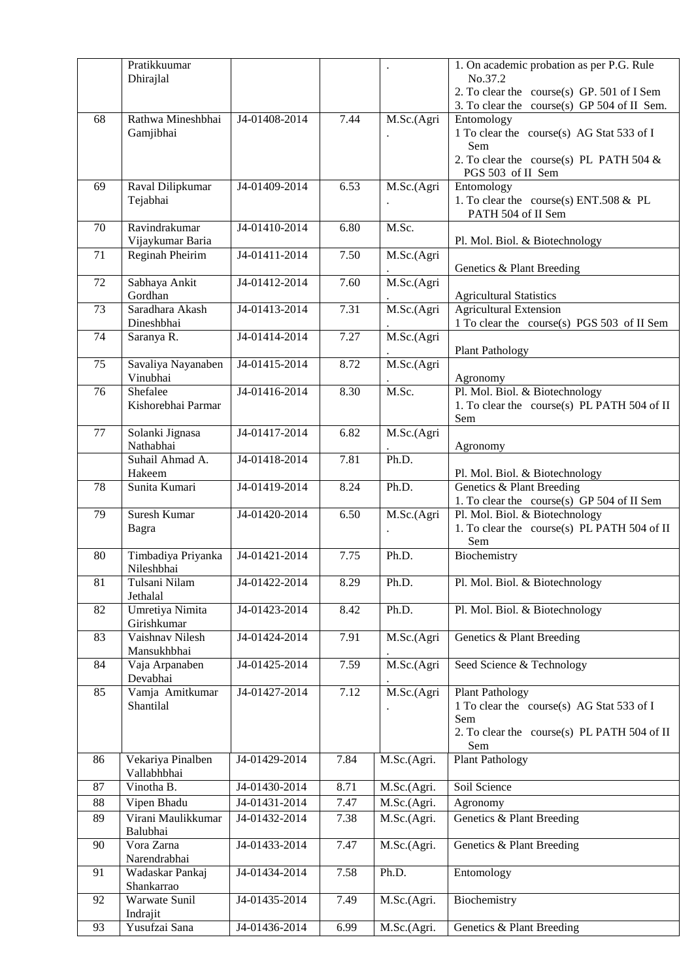|    | Pratikkuumar       |                            |      |                      | 1. On academic probation as per P.G. Rule                       |
|----|--------------------|----------------------------|------|----------------------|-----------------------------------------------------------------|
|    | Dhirajlal          |                            |      |                      | No.37.2                                                         |
|    |                    |                            |      |                      | 2. To clear the course(s) GP. 501 of I Sem                      |
|    |                    |                            |      |                      | 3. To clear the course(s) GP 504 of II Sem.                     |
| 68 | Rathwa Mineshbhai  | J4-01408-2014              | 7.44 | M.Sc.(Agri           | Entomology                                                      |
|    | Gamjibhai          |                            |      |                      | 1 To clear the course(s) AG Stat 533 of I                       |
|    |                    |                            |      |                      | Sem                                                             |
|    |                    |                            |      |                      | 2. To clear the course(s) PL PATH 504 $\&$<br>PGS 503 of II Sem |
| 69 | Raval Dilipkumar   | J4-01409-2014              | 6.53 | M.Sc.(Agri           | Entomology                                                      |
|    | Tejabhai           |                            |      |                      | 1. To clear the course(s) ENT.508 & PL                          |
|    |                    |                            |      |                      | PATH 504 of II Sem                                              |
| 70 | Ravindrakumar      | J4-01410-2014              | 6.80 | M.Sc.                |                                                                 |
|    | Vijaykumar Baria   |                            |      |                      | Pl. Mol. Biol. & Biotechnology                                  |
| 71 | Reginah Pheirim    | J4-01411-2014              | 7.50 | M.Sc.(Agri           |                                                                 |
|    |                    |                            |      |                      | Genetics & Plant Breeding                                       |
| 72 | Sabhaya Ankit      | J4-01412-2014              | 7.60 | M.Sc.(Agri)          |                                                                 |
|    | Gordhan            |                            |      |                      | <b>Agricultural Statistics</b>                                  |
| 73 | Saradhara Akash    | J4-01413-2014              | 7.31 | M.Sc.(Agri           | <b>Agricultural Extension</b>                                   |
|    | Dineshbhai         |                            |      |                      | 1 To clear the course(s) PGS 503 of II Sem                      |
| 74 | Saranya R.         | J4-01414-2014              | 7.27 | M.Sc.(Agri           |                                                                 |
|    |                    |                            |      |                      | <b>Plant Pathology</b>                                          |
| 75 | Savaliya Nayanaben | J4-01415-2014              | 8.72 | M.Sc.(Agri           |                                                                 |
|    | Vinubhai           |                            |      |                      | Agronomy                                                        |
| 76 | Shefalee           | J4-01416-2014              | 8.30 | M.Sc.                | Pl. Mol. Biol. & Biotechnology                                  |
|    | Kishorebhai Parmar |                            |      |                      | 1. To clear the course(s) PL PATH 504 of II                     |
|    |                    |                            |      |                      | Sem                                                             |
| 77 | Solanki Jignasa    | J4-01417-2014              | 6.82 | M.Sc.(Agri           |                                                                 |
|    | Nathabhai          |                            |      |                      | Agronomy                                                        |
|    | Suhail Ahmad A.    | J4-01418-2014              | 7.81 | Ph.D.                |                                                                 |
|    | Hakeem             |                            |      |                      | Pl. Mol. Biol. & Biotechnology                                  |
| 78 | Sunita Kumari      | J4-01419-2014              | 8.24 | Ph.D.                | Genetics & Plant Breeding                                       |
|    |                    |                            |      |                      | 1. To clear the course(s) GP 504 of II Sem                      |
| 79 | Suresh Kumar       | J4-01420-2014              | 6.50 | M.Sc.(Agri           | Pl. Mol. Biol. & Biotechnology                                  |
|    | Bagra              |                            |      | $\ddot{\phantom{0}}$ | 1. To clear the course(s) PL PATH 504 of II<br>Sem              |
| 80 | Timbadiya Priyanka | $\overline{J4-01421-2014}$ | 7.75 | Ph.D.                | Biochemistry                                                    |
|    | Nileshbhai         |                            |      |                      |                                                                 |
| 81 | Tulsani Nilam      | J4-01422-2014              | 8.29 | Ph.D.                | Pl. Mol. Biol. & Biotechnology                                  |
|    | Jethalal           |                            |      |                      |                                                                 |
| 82 | Umretiya Nimita    | J4-01423-2014              | 8.42 | Ph.D.                | Pl. Mol. Biol. & Biotechnology                                  |
|    | Girishkumar        |                            |      |                      |                                                                 |
| 83 | Vaishnav Nilesh    | J4-01424-2014              | 7.91 | M.Sc.(Agri           | Genetics & Plant Breeding                                       |
|    | Mansukhbhai        |                            |      |                      |                                                                 |
| 84 | Vaja Arpanaben     | J4-01425-2014              | 7.59 | M.Sc.(Agri           | Seed Science & Technology                                       |
|    | Devabhai           |                            |      |                      |                                                                 |
| 85 | Vamja Amitkumar    | J4-01427-2014              | 7.12 | M.Sc.(Agri           | <b>Plant Pathology</b>                                          |
|    | Shantilal          |                            |      |                      | 1 To clear the course(s) AG Stat 533 of I                       |
|    |                    |                            |      |                      | Sem                                                             |
|    |                    |                            |      |                      | 2. To clear the course(s) PL PATH 504 of II                     |
|    |                    |                            |      |                      | Sem                                                             |
| 86 | Vekariya Pinalben  | J4-01429-2014              | 7.84 | M.Sc.(Agri.          | Plant Pathology                                                 |
|    | Vallabhbhai        |                            |      |                      |                                                                 |
| 87 | Vinotha B.         | J4-01430-2014              | 8.71 | M.Sc.(Agri.          | Soil Science                                                    |
| 88 | Vipen Bhadu        | J4-01431-2014              | 7.47 | M.Sc.(Agri.          | Agronomy                                                        |
| 89 | Virani Maulikkumar | J4-01432-2014              | 7.38 | M.Sc.(Agri.          | Genetics & Plant Breeding                                       |
|    | Balubhai           |                            |      |                      |                                                                 |
| 90 | Vora Zarna         | J4-01433-2014              | 7.47 | M.Sc.(Agri.          | Genetics & Plant Breeding                                       |
|    | Narendrabhai       |                            |      |                      |                                                                 |
| 91 | Wadaskar Pankaj    | J4-01434-2014              | 7.58 | Ph.D.                | Entomology                                                      |
|    | Shankarrao         |                            |      |                      |                                                                 |
| 92 | Warwate Sunil      | J4-01435-2014              | 7.49 | M.Sc.(Agri.          | Biochemistry                                                    |
|    | Indrajit           |                            |      |                      |                                                                 |
| 93 | Yusufzai Sana      | J4-01436-2014              | 6.99 | M.Sc.(Agri.          | Genetics & Plant Breeding                                       |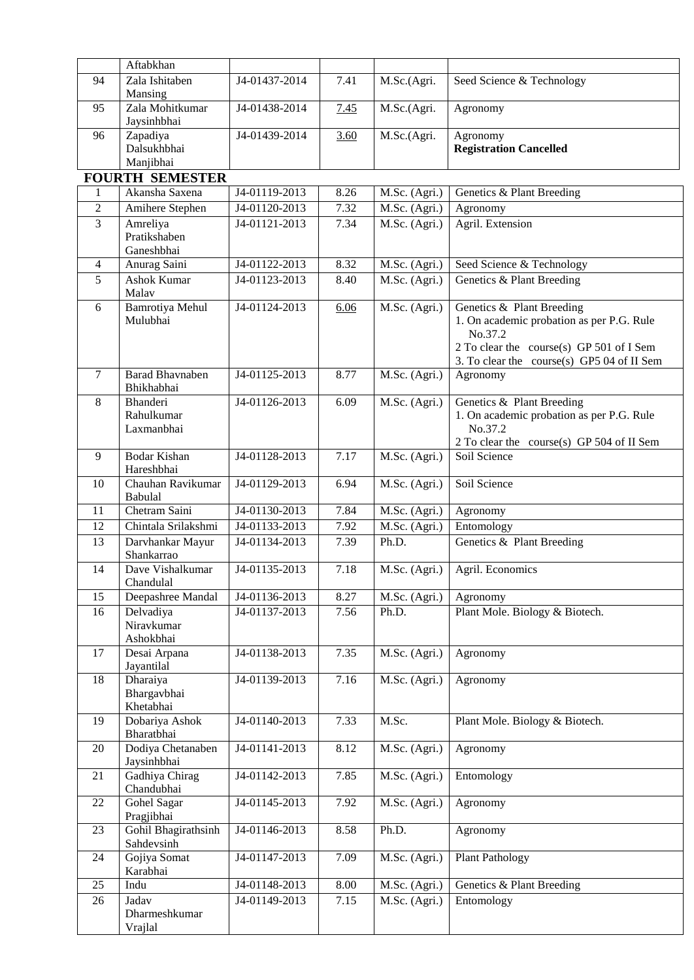|                | Aftabkhan                              |               |      |               |                                                                                                                                                                             |
|----------------|----------------------------------------|---------------|------|---------------|-----------------------------------------------------------------------------------------------------------------------------------------------------------------------------|
| 94             | Zala Ishitaben<br>Mansing              | J4-01437-2014 | 7.41 | M.Sc.(Agri.   | Seed Science & Technology                                                                                                                                                   |
| 95             | Zala Mohitkumar<br>Jaysinhbhai         | J4-01438-2014 | 7.45 | M.Sc.(Agri.   | Agronomy                                                                                                                                                                    |
| 96             | Zapadiya<br>Dalsukhbhai<br>Manjibhai   | J4-01439-2014 | 3.60 | M.Sc.(Agri.   | Agronomy<br><b>Registration Cancelled</b>                                                                                                                                   |
|                | <b>FOURTH SEMESTER</b>                 |               |      |               |                                                                                                                                                                             |
| 1              | Akansha Saxena                         | J4-01119-2013 | 8.26 | M.Sc. (Agri.) | Genetics & Plant Breeding                                                                                                                                                   |
| $\overline{2}$ | Amihere Stephen                        | J4-01120-2013 | 7.32 | M.Sc. (Agri.) | Agronomy                                                                                                                                                                    |
| 3              | Amreliya<br>Pratikshaben<br>Ganeshbhai | J4-01121-2013 | 7.34 | M.Sc. (Agri.) | Agril. Extension                                                                                                                                                            |
| 4              | Anurag Saini                           | J4-01122-2013 | 8.32 | M.Sc. (Agri.) | Seed Science & Technology                                                                                                                                                   |
| 5              | Ashok Kumar                            | J4-01123-2013 | 8.40 | M.Sc. (Agri.) | Genetics & Plant Breeding                                                                                                                                                   |
|                | Malav                                  |               |      |               |                                                                                                                                                                             |
| 6              | Bamrotiya Mehul<br>Mulubhai            | J4-01124-2013 | 6.06 | M.Sc. (Agri.) | Genetics & Plant Breeding<br>1. On academic probation as per P.G. Rule<br>No.37.2<br>2 To clear the course(s) GP 501 of I Sem<br>3. To clear the course(s) GP5 04 of II Sem |
| $\tau$         | <b>Barad Bhavnaben</b><br>Bhikhabhai   | J4-01125-2013 | 8.77 | M.Sc. (Agri.) | Agronomy                                                                                                                                                                    |
| 8              | Bhanderi<br>Rahulkumar<br>Laxmanbhai   | J4-01126-2013 | 6.09 | M.Sc. (Agri.) | Genetics & Plant Breeding<br>1. On academic probation as per P.G. Rule<br>No.37.2<br>2 To clear the course(s) GP 504 of II Sem                                              |
| 9              | <b>Bodar Kishan</b><br>Hareshbhai      | J4-01128-2013 | 7.17 | M.Sc. (Agri.) | Soil Science                                                                                                                                                                |
| 10             | Chauhan Ravikumar<br>Babulal           | J4-01129-2013 | 6.94 | M.Sc. (Agri.) | Soil Science                                                                                                                                                                |
| 11             | Chetram Saini                          | J4-01130-2013 | 7.84 | M.Sc. (Agri.) | Agronomy                                                                                                                                                                    |
| 12             | Chintala Srilakshmi                    | J4-01133-2013 | 7.92 | M.Sc. (Agri.) | Entomology                                                                                                                                                                  |
| 13             | Darvhankar Mayur<br>Shankarrao         | J4-01134-2013 | 7.39 | Ph.D.         | Genetics & Plant Breeding                                                                                                                                                   |
| 14             | Dave Vishalkumar<br>Chandulal          | J4-01135-2013 | 7.18 | M.Sc. (Agri.) | Agril. Economics                                                                                                                                                            |
| 15             | Deepashree Mandal                      | J4-01136-2013 | 8.27 | M.Sc. (Agri.) | Agronomy                                                                                                                                                                    |
| 16             | Delvadiya<br>Niravkumar<br>Ashokbhai   | J4-01137-2013 | 7.56 | Ph.D.         | Plant Mole. Biology & Biotech.                                                                                                                                              |
| 17             | Desai Arpana<br>Jayantilal             | J4-01138-2013 | 7.35 | M.Sc. (Agri.) | Agronomy                                                                                                                                                                    |
| 18             | Dharaiya<br>Bhargavbhai<br>Khetabhai   | J4-01139-2013 | 7.16 | M.Sc. (Agri.) | Agronomy                                                                                                                                                                    |
| 19             | Dobariya Ashok<br>Bharatbhai           | J4-01140-2013 | 7.33 | M.Sc.         | Plant Mole. Biology & Biotech.                                                                                                                                              |
| 20             | Dodiya Chetanaben<br>Jaysinhbhai       | J4-01141-2013 | 8.12 | M.Sc. (Agri.) | Agronomy                                                                                                                                                                    |
| 21             | Gadhiya Chirag<br>Chandubhai           | J4-01142-2013 | 7.85 | M.Sc. (Agri.) | Entomology                                                                                                                                                                  |
| 22             | Gohel Sagar<br>Pragjibhai              | J4-01145-2013 | 7.92 | M.Sc. (Agri.) | Agronomy                                                                                                                                                                    |
| 23             | Gohil Bhagirathsinh<br>Sahdevsinh      | J4-01146-2013 | 8.58 | Ph.D.         | Agronomy                                                                                                                                                                    |
| 24             | Gojiya Somat<br>Karabhai               | J4-01147-2013 | 7.09 | M.Sc. (Agri.) | <b>Plant Pathology</b>                                                                                                                                                      |
| 25             | Indu                                   | J4-01148-2013 | 8.00 | M.Sc. (Agri.) | Genetics & Plant Breeding                                                                                                                                                   |
| 26             | Jadav<br>Dharmeshkumar<br>Vrajlal      | J4-01149-2013 | 7.15 | M.Sc. (Agri.) | Entomology                                                                                                                                                                  |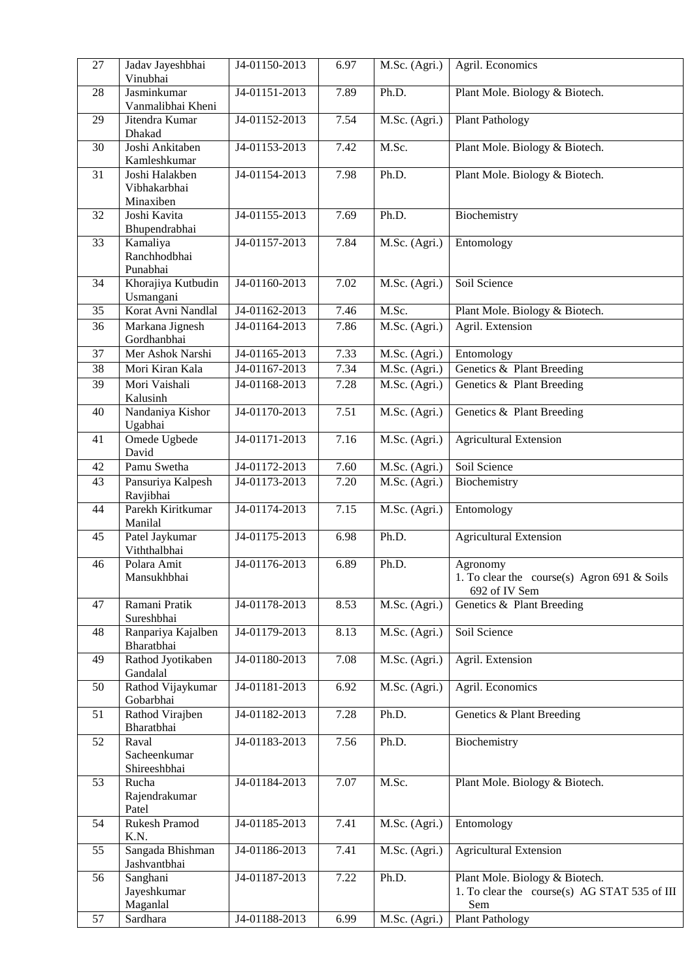| 27              | Jadav Jayeshbhai<br>Vinubhai                | J4-01150-2013 | 6.97 | M.Sc. (Agri.)               | Agril. Economics                                                                      |  |
|-----------------|---------------------------------------------|---------------|------|-----------------------------|---------------------------------------------------------------------------------------|--|
| 28              | Jasminkumar<br>Vanmalibhai Kheni            | J4-01151-2013 | 7.89 | Ph.D.                       | Plant Mole. Biology & Biotech.                                                        |  |
| 29              | Jitendra Kumar<br>Dhakad                    | J4-01152-2013 | 7.54 | M.Sc. (Agri.)               | <b>Plant Pathology</b>                                                                |  |
| $\overline{30}$ | Joshi Ankitaben<br>Kamleshkumar             | J4-01153-2013 | 7.42 | M.Sc.                       | Plant Mole. Biology & Biotech.                                                        |  |
| 31              | Joshi Halakben<br>Vibhakarbhai<br>Minaxiben | J4-01154-2013 | 7.98 | Ph.D.                       | Plant Mole. Biology & Biotech.                                                        |  |
| 32              | Joshi Kavita<br>Bhupendrabhai               | J4-01155-2013 | 7.69 | Ph.D.                       | Biochemistry                                                                          |  |
| 33              | Kamaliya<br>Ranchhodbhai<br>Punabhai        | J4-01157-2013 | 7.84 | $\overline{M}$ .Sc. (Agri.) | Entomology                                                                            |  |
| 34              | Khorajiya Kutbudin<br>Usmangani             | J4-01160-2013 | 7.02 | M.Sc. (Agri.)               | Soil Science                                                                          |  |
| 35              | Korat Avni Nandlal                          | J4-01162-2013 | 7.46 | M.Sc.                       | Plant Mole. Biology & Biotech.                                                        |  |
| 36              | Markana Jignesh<br>Gordhanbhai              | J4-01164-2013 | 7.86 | M.Sc. (Agri.)               | Agril. Extension                                                                      |  |
| 37              | Mer Ashok Narshi                            | J4-01165-2013 | 7.33 | M.Sc. (Agri.)               | Entomology                                                                            |  |
| $\overline{38}$ | Mori Kiran Kala                             | J4-01167-2013 | 7.34 | M.Sc. (Agri.)               | Genetics & Plant Breeding                                                             |  |
| 39              | Mori Vaishali<br>Kalusinh                   | J4-01168-2013 | 7.28 | M.Sc. (Agri.)               | Genetics & Plant Breeding                                                             |  |
| 40              | Nandaniya Kishor<br>Ugabhai                 | J4-01170-2013 | 7.51 | M.Sc. (Agri.)               | Genetics & Plant Breeding                                                             |  |
| 41              | Omede Ugbede<br>David                       | J4-01171-2013 | 7.16 | M.Sc. (Agri.)               | <b>Agricultural Extension</b>                                                         |  |
| 42              | Pamu Swetha                                 | J4-01172-2013 | 7.60 | M.Sc. (Agri.)               | Soil Science                                                                          |  |
| 43              | Pansuriya Kalpesh<br>Ravjibhai              | J4-01173-2013 | 7.20 | M.Sc. (Agri.)               | Biochemistry                                                                          |  |
| 44              | Parekh Kiritkumar<br>Manilal                | J4-01174-2013 | 7.15 | M.Sc. (Agri.)               | Entomology                                                                            |  |
| 45              | Patel Jaykumar<br>Viththalbhai              | J4-01175-2013 | 6.98 | Ph.D.                       | <b>Agricultural Extension</b>                                                         |  |
| 46              | Polara Amit<br>Mansukhbhai                  | J4-01176-2013 | 6.89 | Ph.D.                       | Agronomy<br>1. To clear the course(s) Agron 691 & Soils<br>692 of IV Sem              |  |
| 47              | Ramani Pratik<br>Sureshbhai                 | J4-01178-2013 | 8.53 | M.Sc. (Agri.)               | Genetics & Plant Breeding                                                             |  |
| 48              | Ranpariya Kajalben<br>Bharatbhai            | J4-01179-2013 | 8.13 | M.Sc. (Agri.)               | Soil Science                                                                          |  |
| 49              | Rathod Jyotikaben<br>Gandalal               | J4-01180-2013 | 7.08 | M.Sc. (Agri.)               | Agril. Extension                                                                      |  |
| 50              | Rathod Vijaykumar<br>Gobarbhai              | J4-01181-2013 | 6.92 | M.Sc. (Agri.)               | Agril. Economics                                                                      |  |
| 51              | Rathod Virajben<br>Bharatbhai               | J4-01182-2013 | 7.28 | Ph.D.                       | Genetics & Plant Breeding                                                             |  |
| 52              | Raval<br>Sacheenkumar<br>Shireeshbhai       | J4-01183-2013 | 7.56 | Ph.D.                       | Biochemistry                                                                          |  |
| 53              | Rucha<br>Rajendrakumar<br>Patel             | J4-01184-2013 | 7.07 | M.Sc.                       | Plant Mole. Biology & Biotech.                                                        |  |
| 54              | <b>Rukesh Pramod</b><br>K.N.                | J4-01185-2013 | 7.41 | M.Sc. (Agri.)               | Entomology                                                                            |  |
| 55              | Sangada Bhishman<br>Jashvantbhai            | J4-01186-2013 | 7.41 | M.Sc. (Agri.)               | <b>Agricultural Extension</b>                                                         |  |
| 56              | Sanghani<br>Jayeshkumar<br>Maganlal         | J4-01187-2013 | 7.22 | Ph.D.                       | Plant Mole. Biology & Biotech.<br>1. To clear the course(s) AG STAT 535 of III<br>Sem |  |
| 57              | Sardhara                                    | J4-01188-2013 | 6.99 | M.Sc. (Agri.)               | <b>Plant Pathology</b>                                                                |  |
|                 |                                             |               |      |                             |                                                                                       |  |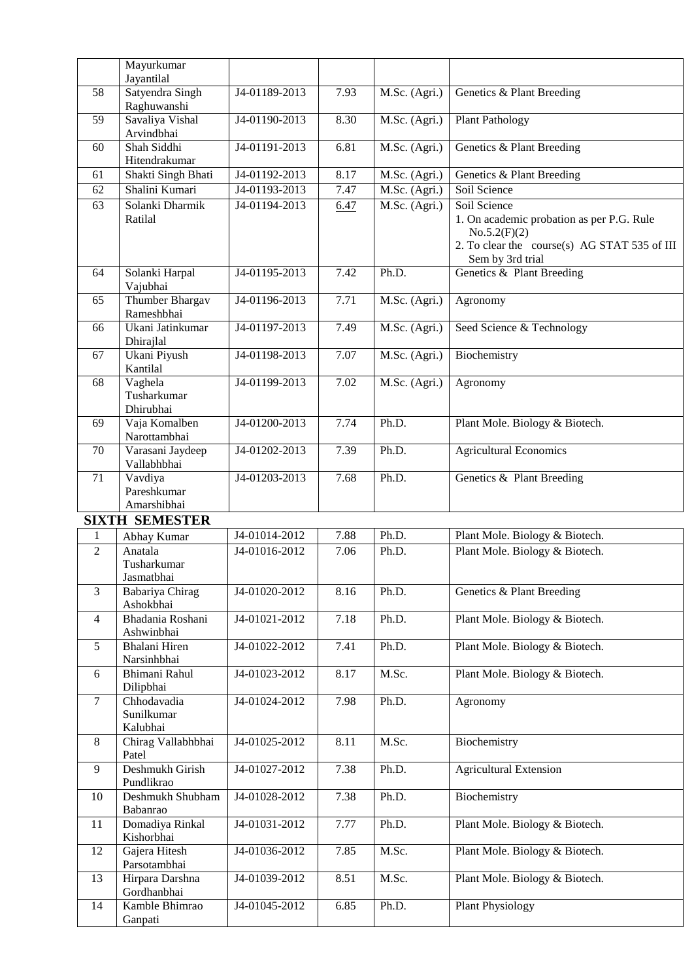|                | Mayurkumar<br>Jayantilal              |               |      |               |                                                                                                                                               |
|----------------|---------------------------------------|---------------|------|---------------|-----------------------------------------------------------------------------------------------------------------------------------------------|
| 58             | Satyendra Singh                       | J4-01189-2013 | 7.93 | M.Sc. (Agri.) | Genetics & Plant Breeding                                                                                                                     |
|                | Raghuwanshi                           |               |      |               |                                                                                                                                               |
| 59             | Savaliya Vishal<br>Arvindbhai         | J4-01190-2013 | 8.30 | M.Sc. (Agri.) | <b>Plant Pathology</b>                                                                                                                        |
| 60             | Shah Siddhi<br>Hitendrakumar          | J4-01191-2013 | 6.81 | M.Sc. (Agri.) | Genetics & Plant Breeding                                                                                                                     |
| 61             | Shakti Singh Bhati                    | J4-01192-2013 | 8.17 | M.Sc. (Agri.) | Genetics & Plant Breeding                                                                                                                     |
| 62             | Shalini Kumari                        | J4-01193-2013 | 7.47 | M.Sc. (Agri.) | Soil Science                                                                                                                                  |
| 63             | Solanki Dharmik<br>Ratilal            | J4-01194-2013 | 6.47 | M.Sc. (Agri.) | Soil Science<br>1. On academic probation as per P.G. Rule<br>No.5.2(F)(2)<br>2. To clear the course(s) AG STAT 535 of III<br>Sem by 3rd trial |
| 64             | Solanki Harpal<br>Vajubhai            | J4-01195-2013 | 7.42 | Ph.D.         | Genetics & Plant Breeding                                                                                                                     |
| 65             | Thumber Bhargav<br>Rameshbhai         | J4-01196-2013 | 7.71 | M.Sc. (Agri.) | Agronomy                                                                                                                                      |
| 66             | Ukani Jatinkumar<br>Dhirajlal         | J4-01197-2013 | 7.49 | M.Sc. (Agri.) | Seed Science & Technology                                                                                                                     |
| 67             | Ukani Piyush<br>Kantilal              | J4-01198-2013 | 7.07 | M.Sc. (Agri.) | Biochemistry                                                                                                                                  |
| 68             | Vaghela<br>Tusharkumar<br>Dhirubhai   | J4-01199-2013 | 7.02 | M.Sc. (Agri.) | Agronomy                                                                                                                                      |
| 69             | Vaja Komalben<br>Narottambhai         | J4-01200-2013 | 7.74 | Ph.D.         | Plant Mole. Biology & Biotech.                                                                                                                |
| 70             | Varasani Jaydeep<br>Vallabhbhai       | J4-01202-2013 | 7.39 | Ph.D.         | <b>Agricultural Economics</b>                                                                                                                 |
| 71             | Vavdiya<br>Pareshkumar<br>Amarshibhai | J4-01203-2013 | 7.68 | Ph.D.         | Genetics & Plant Breeding                                                                                                                     |
|                | <b>SIXTH SEMESTER</b>                 |               |      |               |                                                                                                                                               |
| 1              | Abhay Kumar                           | J4-01014-2012 | 7.88 | Ph.D.         | Plant Mole. Biology & Biotech.                                                                                                                |
| $\overline{2}$ | Anatala<br>Tusharkumar<br>Jasmatbhai  | J4-01016-2012 | 7.06 | Ph.D.         | Plant Mole. Biology & Biotech.                                                                                                                |
| 3              | Babariya Chirag<br>Ashokbhai          | J4-01020-2012 | 8.16 | Ph.D.         | Genetics & Plant Breeding                                                                                                                     |
| $\overline{4}$ | Bhadania Roshani<br>Ashwinbhai        | J4-01021-2012 | 7.18 | Ph.D.         | Plant Mole. Biology & Biotech.                                                                                                                |
| 5              | Bhalani Hiren<br>Narsinhbhai          | J4-01022-2012 | 7.41 | Ph.D.         | Plant Mole. Biology & Biotech.                                                                                                                |
| 6              | Bhimani Rahul<br>Dilipbhai            | J4-01023-2012 | 8.17 | M.Sc.         | Plant Mole. Biology & Biotech.                                                                                                                |
| $\tau$         | Chhodavadia<br>Sunilkumar<br>Kalubhai | J4-01024-2012 | 7.98 | Ph.D.         | Agronomy                                                                                                                                      |
| 8              | Chirag Vallabhbhai<br>Patel           | J4-01025-2012 | 8.11 | M.Sc.         | Biochemistry                                                                                                                                  |
| 9              | Deshmukh Girish<br>Pundlikrao         | J4-01027-2012 | 7.38 | Ph.D.         | <b>Agricultural Extension</b>                                                                                                                 |
| 10             | Deshmukh Shubham<br>Babanrao          | J4-01028-2012 | 7.38 | Ph.D.         | Biochemistry                                                                                                                                  |
| 11             | Domadiya Rinkal<br>Kishorbhai         | J4-01031-2012 | 7.77 | Ph.D.         | Plant Mole. Biology & Biotech.                                                                                                                |
| 12             | Gajera Hitesh<br>Parsotambhai         | J4-01036-2012 | 7.85 | M.Sc.         | Plant Mole. Biology & Biotech.                                                                                                                |
| 13             | Hirpara Darshna<br>Gordhanbhai        | J4-01039-2012 | 8.51 | M.Sc.         | Plant Mole. Biology & Biotech.                                                                                                                |
| 14             | Kamble Bhimrao<br>Ganpati             | J4-01045-2012 | 6.85 | Ph.D.         | <b>Plant Physiology</b>                                                                                                                       |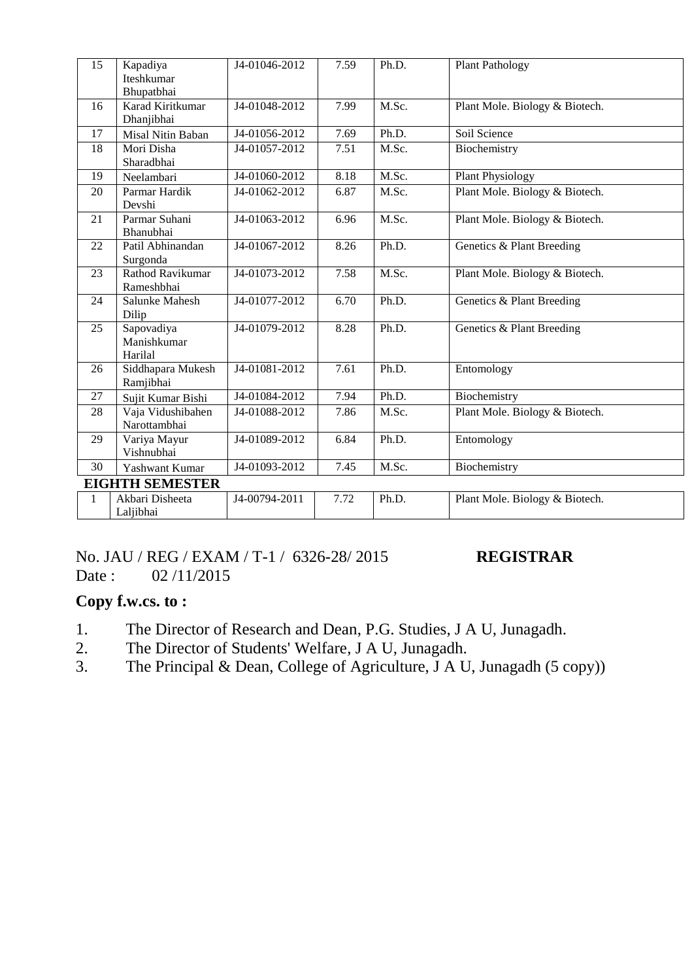| 15           | Kapadiya<br>Iteshkumar<br>Bhupatbhai | J4-01046-2012 | 7.59 | Ph.D. | <b>Plant Pathology</b>         |
|--------------|--------------------------------------|---------------|------|-------|--------------------------------|
| 16           | Karad Kiritkumar<br>Dhanjibhai       | J4-01048-2012 | 7.99 | M.Sc. | Plant Mole. Biology & Biotech. |
| 17           | Misal Nitin Baban                    | J4-01056-2012 | 7.69 | Ph.D. | Soil Science                   |
| 18           | Mori Disha<br>Sharadbhai             | J4-01057-2012 | 7.51 | M.Sc. | Biochemistry                   |
| 19           | Neelambari                           | J4-01060-2012 | 8.18 | M.Sc. | <b>Plant Physiology</b>        |
| 20           | Parmar Hardik<br>Devshi              | J4-01062-2012 | 6.87 | M.Sc. | Plant Mole. Biology & Biotech. |
| 21           | Parmar Suhani<br>Bhanubhai           | J4-01063-2012 | 6.96 | M.Sc. | Plant Mole. Biology & Biotech. |
| 22           | Patil Abhinandan<br>Surgonda         | J4-01067-2012 | 8.26 | Ph.D. | Genetics & Plant Breeding      |
| 23           | Rathod Ravikumar<br>Rameshbhai       | J4-01073-2012 | 7.58 | M.Sc. | Plant Mole. Biology & Biotech. |
| 24           | Salunke Mahesh<br>Dilip              | J4-01077-2012 | 6.70 | Ph.D. | Genetics & Plant Breeding      |
| 25           | Sapovadiya<br>Manishkumar<br>Harilal | J4-01079-2012 | 8.28 | Ph.D. | Genetics & Plant Breeding      |
| 26           | Siddhapara Mukesh<br>Ramjibhai       | J4-01081-2012 | 7.61 | Ph.D. | Entomology                     |
| 27           | Sujit Kumar Bishi                    | J4-01084-2012 | 7.94 | Ph.D. | Biochemistry                   |
| 28           | Vaja Vidushibahen<br>Narottambhai    | J4-01088-2012 | 7.86 | M.Sc. | Plant Mole. Biology & Biotech. |
| 29           | Variya Mayur<br>Vishnubhai           | J4-01089-2012 | 6.84 | Ph.D. | Entomology                     |
| 30           | Yashwant Kumar                       | J4-01093-2012 | 7.45 | M.Sc. | Biochemistry                   |
|              | <b>EIGHTH SEMESTER</b>               |               |      |       |                                |
| $\mathbf{1}$ | Akbari Disheeta<br>Laljibhai         | J4-00794-2011 | 7.72 | Ph.D. | Plant Mole. Biology & Biotech. |

## No. JAU / REG / EXAM / T-1 / 6326-28/ 2015 **REGISTRAR** Date : 02/11/2015

**Copy f.w.cs. to :**

- 1. The Director of Research and Dean, P.G. Studies, J A U, Junagadh.<br>2. The Director of Students' Welfare, J A U, Junagadh.
- The Director of Students' Welfare, J A U, Junagadh.
- 3. The Principal & Dean, College of Agriculture, J A U, Junagadh (5 copy))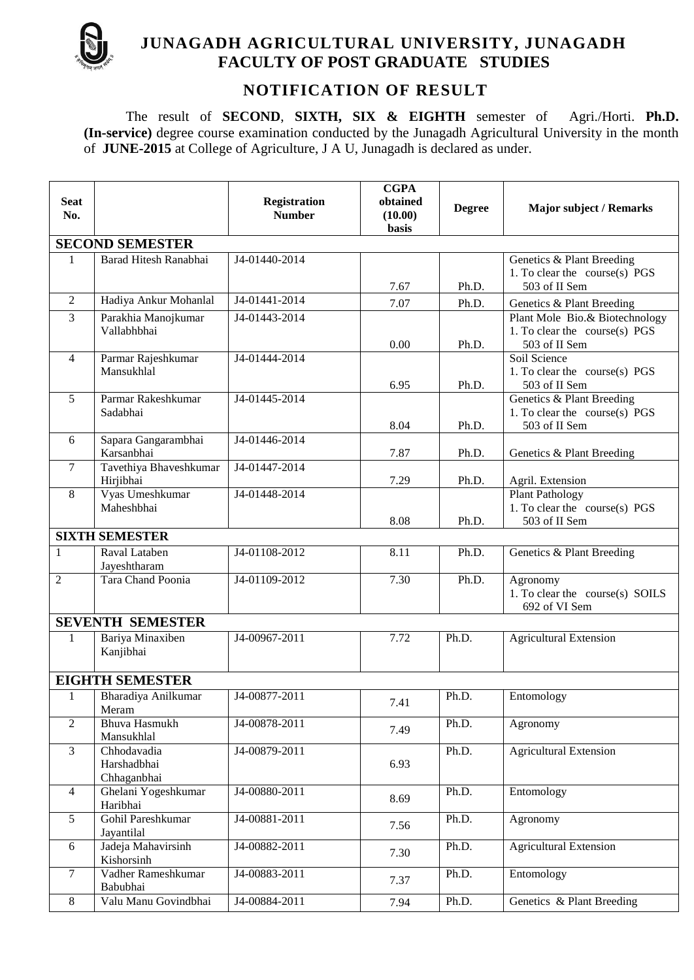

# **JUNAGADH AGRICULTURAL UNIVERSITY, JUNAGADH FACULTY OF POST GRADUATE STUDIES**

# **NOTIFICATION OF RESULT**

The result of **SECOND**, **SIXTH, SIX & EIGHTH** semester of Agri./Horti. **Ph.D. (In-service)** degree course examination conducted by the Junagadh Agricultural University in the month of **JUNE-2015** at College of Agriculture, J A U, Junagadh is declared as under.

| <b>Seat</b><br>No. |                                           | <b>Registration</b><br><b>Number</b> | <b>CGPA</b><br>obtained<br>(10.00)<br>basis | <b>Degree</b> | <b>Major subject / Remarks</b>                                                     |
|--------------------|-------------------------------------------|--------------------------------------|---------------------------------------------|---------------|------------------------------------------------------------------------------------|
|                    | <b>SECOND SEMESTER</b>                    |                                      |                                             |               |                                                                                    |
| 1                  | Barad Hitesh Ranabhai                     | J4-01440-2014                        | 7.67                                        | Ph.D.         | Genetics & Plant Breeding<br>1. To clear the course(s) PGS<br>503 of II Sem        |
| $\mathfrak{2}$     | Hadiya Ankur Mohanlal                     | J4-01441-2014                        | 7.07                                        | Ph.D.         | Genetics & Plant Breeding                                                          |
| $\overline{3}$     | Parakhia Manojkumar<br>Vallabhbhai        | J4-01443-2014                        | 0.00                                        | Ph.D.         | Plant Mole Bio.& Biotechnology<br>1. To clear the course(s) $PGS$<br>503 of II Sem |
| $\overline{4}$     | Parmar Rajeshkumar<br>Mansukhlal          | J4-01444-2014                        | 6.95                                        | Ph.D.         | Soil Science<br>1. To clear the course(s) PGS<br>503 of II Sem                     |
| 5                  | Parmar Rakeshkumar<br>Sadabhai            | J4-01445-2014                        | 8.04                                        | Ph.D.         | Genetics & Plant Breeding<br>1. To clear the course(s) PGS<br>503 of II Sem        |
| 6                  | Sapara Gangarambhai<br>Karsanbhai         | J4-01446-2014                        | 7.87                                        | Ph.D.         | Genetics & Plant Breeding                                                          |
| $\tau$             | Tavethiya Bhaveshkumar<br>Hirjibhai       | J4-01447-2014                        | 7.29                                        | Ph.D.         | Agril. Extension                                                                   |
| 8                  | Vyas Umeshkumar<br>Maheshbhai             | J4-01448-2014                        | 8.08                                        | Ph.D.         | <b>Plant Pathology</b><br>1. To clear the course(s) PGS<br>503 of II Sem           |
|                    | <b>SIXTH SEMESTER</b>                     |                                      |                                             |               |                                                                                    |
| 1                  | Raval Lataben<br>Jayeshtharam             | J4-01108-2012                        | 8.11                                        | Ph.D.         | Genetics & Plant Breeding                                                          |
| $\overline{c}$     | Tara Chand Poonia                         | J4-01109-2012                        | 7.30                                        | Ph.D.         | Agronomy<br>1. To clear the course(s) SOILS<br>692 of VI Sem                       |
|                    | <b>SEVENTH SEMESTER</b>                   |                                      |                                             |               |                                                                                    |
| $\mathbf{1}$       | Bariya Minaxiben<br>Kanjibhai             | J4-00967-2011                        | 7.72                                        | Ph.D.         | <b>Agricultural Extension</b>                                                      |
|                    | <b>EIGHTH SEMESTER</b>                    |                                      |                                             |               |                                                                                    |
| 1                  | Bharadiya Anilkumar<br>Meram              | J4-00877-2011                        | 7.41                                        | Ph.D.         | Entomology                                                                         |
| $\overline{2}$     | <b>Bhuva Hasmukh</b><br>Mansukhlal        | J4-00878-2011                        | 7.49                                        | Ph.D.         | Agronomy                                                                           |
| $\mathfrak{Z}$     | Chhodavadia<br>Harshadbhai<br>Chhaganbhai | J4-00879-2011                        | 6.93                                        | Ph.D.         | <b>Agricultural Extension</b>                                                      |
| $\overline{4}$     | Ghelani Yogeshkumar<br>Haribhai           | J4-00880-2011                        | 8.69                                        | Ph.D.         | Entomology                                                                         |
| 5                  | Gohil Pareshkumar<br>Jayantilal           | J4-00881-2011                        | 7.56                                        | Ph.D.         | Agronomy                                                                           |
| 6                  | Jadeja Mahavirsinh<br>Kishorsinh          | J4-00882-2011                        | 7.30                                        | Ph.D.         | <b>Agricultural Extension</b>                                                      |
| $\tau$             | Vadher Rameshkumar<br>Babubhai            | J4-00883-2011                        | 7.37                                        | Ph.D.         | Entomology                                                                         |
| $8\,$              | Valu Manu Govindbhai                      | J4-00884-2011                        | 7.94                                        | Ph.D.         | Genetics & Plant Breeding                                                          |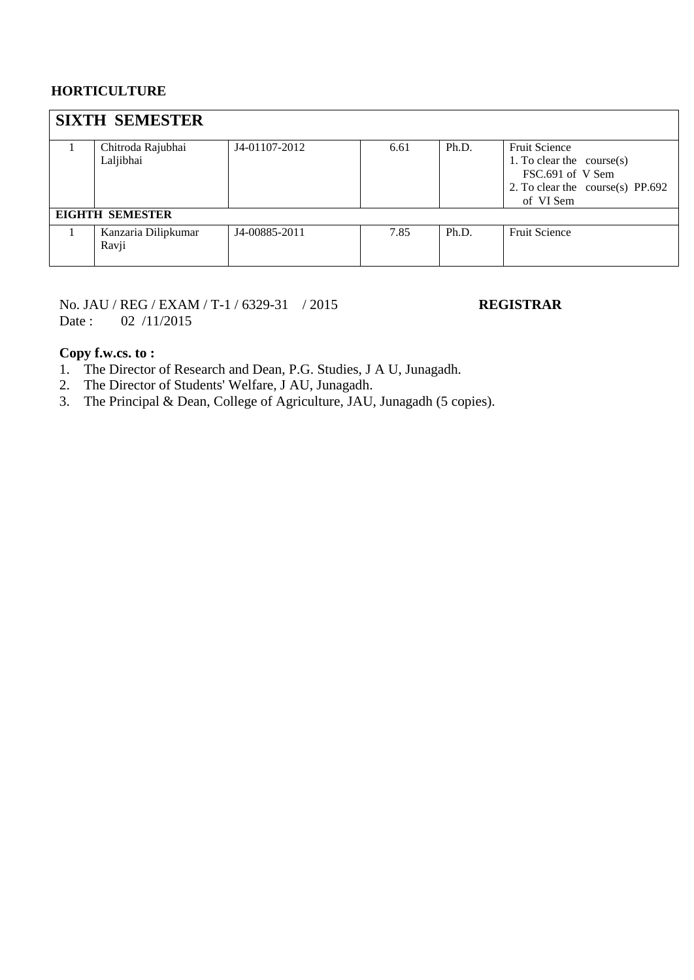## **HORTICULTURE**

| <b>SIXTH SEMESTER</b>          |               |      |       |                                                                                                                          |
|--------------------------------|---------------|------|-------|--------------------------------------------------------------------------------------------------------------------------|
| Chitroda Rajubhai<br>Laljibhai | J4-01107-2012 | 6.61 | Ph.D. | <b>Fruit Science</b><br>1. To clear the $course(s)$<br>FSC.691 of V Sem<br>2. To clear the course(s) PP.692<br>of VI Sem |
| <b>EIGHTH SEMESTER</b>         |               |      |       |                                                                                                                          |
| Kanzaria Dilipkumar<br>Ravji   | J4-00885-2011 | 7.85 | Ph.D. | <b>Fruit Science</b>                                                                                                     |

No. JAU / REG / EXAM / T-1 / 6329-31 / 2015 **REGISTRAR** Date: 02 /11/2015

## **Copy f.w.cs. to :**

1. The Director of Research and Dean, P.G. Studies, J A U, Junagadh.

- 2. The Director of Students' Welfare, J AU, Junagadh.
- 3. The Principal & Dean, College of Agriculture, JAU, Junagadh (5 copies).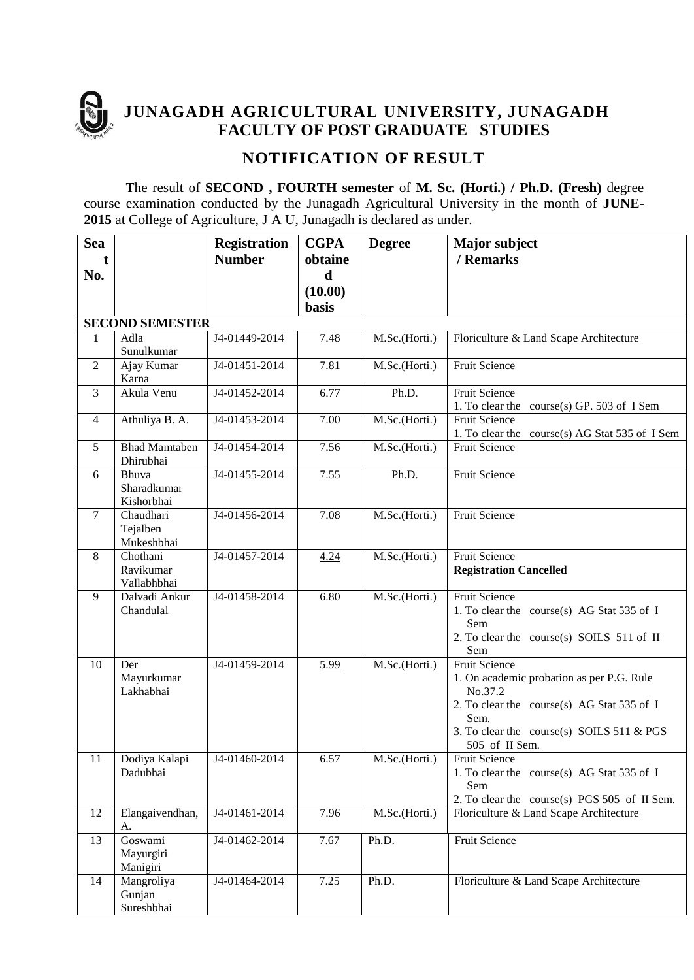

**JUNAGADH AGRICULTURAL UNIVERSITY, JUNAGADH FACULTY OF POST GRADUATE STUDIES** 

# **NOTIFICATION OF RESULT**

The result of **SECOND , FOURTH semester** of **M. Sc. (Horti.) / Ph.D. (Fresh)** degree course examination conducted by the Junagadh Agricultural University in the month of **JUNE-2015** at College of Agriculture, J A U, Junagadh is declared as under.

| <b>Sea</b>     |                                      | <b>Registration</b> | <b>CGPA</b> | <b>Degree</b> | <b>Major subject</b>                                                                                                                                                                              |
|----------------|--------------------------------------|---------------------|-------------|---------------|---------------------------------------------------------------------------------------------------------------------------------------------------------------------------------------------------|
| t              |                                      | <b>Number</b>       | obtaine     |               | / Remarks                                                                                                                                                                                         |
| No.            |                                      |                     | $\mathbf d$ |               |                                                                                                                                                                                                   |
|                |                                      |                     | (10.00)     |               |                                                                                                                                                                                                   |
|                |                                      |                     | basis       |               |                                                                                                                                                                                                   |
|                | <b>SECOND SEMESTER</b>               |                     |             |               |                                                                                                                                                                                                   |
| $\mathbf{1}$   | Adla<br>Sunulkumar                   | J4-01449-2014       | 7.48        | M.Sc.(Horti.) | Floriculture & Land Scape Architecture                                                                                                                                                            |
| 2              | Ajay Kumar<br>Karna                  | J4-01451-2014       | 7.81        | M.Sc.(Horti.) | Fruit Science                                                                                                                                                                                     |
| 3              | Akula Venu                           | J4-01452-2014       | 6.77        | Ph.D.         | <b>Fruit Science</b><br>1. To clear the course(s) GP. 503 of I Sem                                                                                                                                |
| $\overline{4}$ | Athuliya B. A.                       | J4-01453-2014       | 7.00        | M.Sc.(Horti.) | <b>Fruit Science</b><br>1. To clear the course(s) AG Stat 535 of I Sem                                                                                                                            |
| 5              | <b>Bhad Mamtaben</b><br>Dhirubhai    | J4-01454-2014       | 7.56        | M.Sc.(Horti.) | Fruit Science                                                                                                                                                                                     |
| 6              | Bhuva<br>Sharadkumar<br>Kishorbhai   | J4-01455-2014       | 7.55        | Ph.D.         | Fruit Science                                                                                                                                                                                     |
| $\tau$         | Chaudhari<br>Tejalben<br>Mukeshbhai  | J4-01456-2014       | 7.08        | M.Sc.(Horti.) | <b>Fruit Science</b>                                                                                                                                                                              |
| 8              | Chothani<br>Ravikumar<br>Vallabhbhai | J4-01457-2014       | 4.24        | M.Sc.(Horti.) | <b>Fruit Science</b><br><b>Registration Cancelled</b>                                                                                                                                             |
| 9              | Dalvadi Ankur<br>Chandulal           | J4-01458-2014       | 6.80        | M.Sc.(Horti.) | Fruit Science<br>1. To clear the course(s) AG Stat 535 of I<br>Sem<br>2. To clear the course(s) SOILS 511 of II<br>Sem                                                                            |
| 10             | Der<br>Mayurkumar<br>Lakhabhai       | J4-01459-2014       | 5.99        | M.Sc.(Horti.) | <b>Fruit Science</b><br>1. On academic probation as per P.G. Rule<br>No.37.2<br>2. To clear the course(s) AG Stat 535 of I<br>Sem.<br>3. To clear the course(s) SOILS 511 & PGS<br>505 of II Sem. |
| 11             | Dodiya Kalapi<br>Dadubhai            | J4-01460-2014       | 6.57        | M.Sc.(Horti.) | <b>Fruit Science</b><br>1. To clear the course(s) AG Stat 535 of I<br>Sem<br>2. To clear the course(s) PGS 505 of II Sem.                                                                         |
| 12             | Elangaivendhan,<br>A.                | J4-01461-2014       | 7.96        | M.Sc.(Horti.) | Floriculture & Land Scape Architecture                                                                                                                                                            |
| 13             | Goswami<br>Mayurgiri<br>Manigiri     | J4-01462-2014       | 7.67        | Ph.D.         | <b>Fruit Science</b>                                                                                                                                                                              |
| 14             | Mangroliya<br>Gunjan<br>Sureshbhai   | J4-01464-2014       | 7.25        | Ph.D.         | Floriculture & Land Scape Architecture                                                                                                                                                            |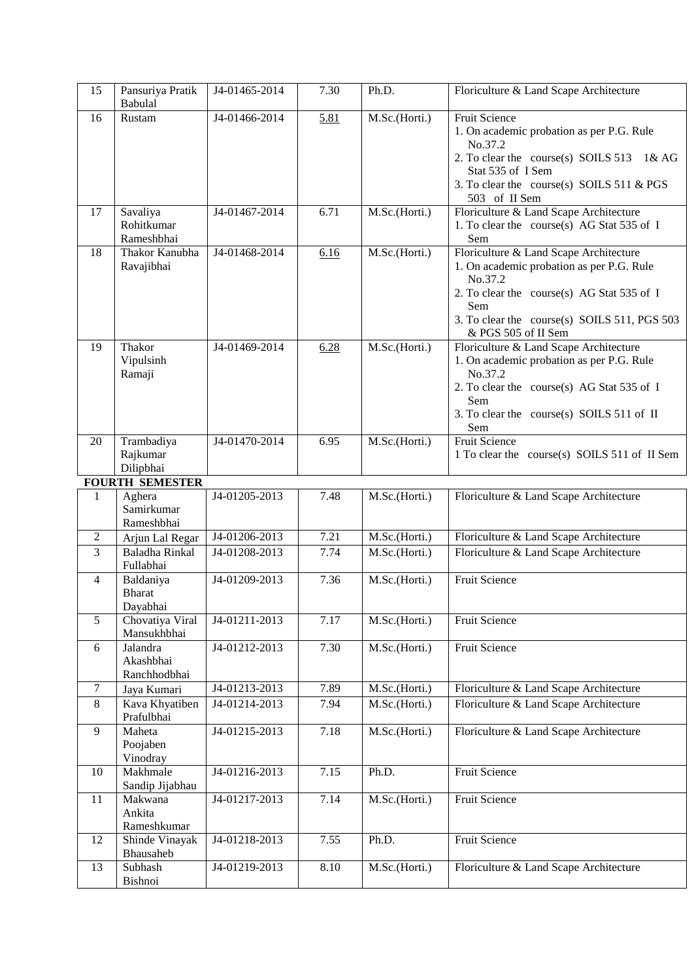| 15               | Pansuriya Pratik<br>Babulal            | J4-01465-2014 | 7.30 | Ph.D.         | Floriculture & Land Scape Architecture                                                                                                                                                                                     |
|------------------|----------------------------------------|---------------|------|---------------|----------------------------------------------------------------------------------------------------------------------------------------------------------------------------------------------------------------------------|
| 16               | Rustam                                 | J4-01466-2014 | 5.81 | M.Sc.(Horti.) | <b>Fruit Science</b><br>1. On academic probation as per P.G. Rule<br>No.37.2<br>2. To clear the course(s) SOILS 513<br>1&AG<br>Stat 535 of I Sem<br>3. To clear the course(s) SOILS 511 & PGS<br>503 of II Sem             |
| 17               | Savaliya<br>Rohitkumar<br>Rameshbhai   | J4-01467-2014 | 6.71 | M.Sc.(Horti.) | Floriculture & Land Scape Architecture<br>1. To clear the course(s) AG Stat 535 of I<br>Sem                                                                                                                                |
| 18               | Thakor Kanubha<br>Ravajibhai           | J4-01468-2014 | 6.16 | M.Sc.(Horti.) | Floriculture & Land Scape Architecture<br>1. On academic probation as per P.G. Rule<br>No.37.2<br>2. To clear the course(s) AG Stat 535 of I<br>Sem<br>3. To clear the course(s) SOILS 511, PGS 503<br>& PGS 505 of II Sem |
| 19               | Thakor<br>Vipulsinh<br>Ramaji          | J4-01469-2014 | 6.28 | M.Sc.(Horti.) | Floriculture & Land Scape Architecture<br>1. On academic probation as per P.G. Rule<br>No.37.2<br>2. To clear the course(s) AG Stat 535 of I<br>Sem<br>3. To clear the course(s) SOILS 511 of II<br>Sem                    |
| 20               | Trambadiya<br>Rajkumar<br>Dilipbhai    | J4-01470-2014 | 6.95 | M.Sc.(Horti.) | <b>Fruit Science</b><br>1 To clear the course(s) SOILS 511 of II Sem                                                                                                                                                       |
|                  | <b>FOURTH SEMESTER</b>                 |               |      |               |                                                                                                                                                                                                                            |
| 1                | Aghera<br>Samirkumar<br>Rameshbhai     | J4-01205-2013 | 7.48 | M.Sc.(Horti.) | Floriculture & Land Scape Architecture                                                                                                                                                                                     |
| $\boldsymbol{2}$ | Arjun Lal Regar                        | J4-01206-2013 | 7.21 | M.Sc.(Horti.) | Floriculture & Land Scape Architecture                                                                                                                                                                                     |
| $\overline{3}$   | Baladha Rinkal<br>Fullabhai            | J4-01208-2013 | 7.74 | M.Sc.(Horti.) | Floriculture & Land Scape Architecture                                                                                                                                                                                     |
| $\overline{4}$   | Baldaniya<br><b>Bharat</b><br>Dayabhai | J4-01209-2013 | 7.36 | M.Sc.(Horti.) | <b>Fruit Science</b>                                                                                                                                                                                                       |
| 5                | Chovatiya Viral<br>Mansukhbhai         | J4-01211-2013 | 7.17 | M.Sc.(Horti.) | Fruit Science                                                                                                                                                                                                              |
| 6                | Jalandra<br>Akashbhai<br>Ranchhodbhai  | J4-01212-2013 | 7.30 | M.Sc.(Horti.) | Fruit Science                                                                                                                                                                                                              |
| $\overline{7}$   | Jaya Kumari                            | J4-01213-2013 | 7.89 | M.Sc.(Horti.) | Floriculture & Land Scape Architecture                                                                                                                                                                                     |
| 8                | Kava Khyatiben<br>Prafulbhai           | J4-01214-2013 | 7.94 | M.Sc.(Horti.) | Floriculture & Land Scape Architecture                                                                                                                                                                                     |
| 9                | Maheta<br>Poojaben<br>Vinodray         | J4-01215-2013 | 7.18 | M.Sc.(Horti.) | Floriculture & Land Scape Architecture                                                                                                                                                                                     |
| 10               | Makhmale<br>Sandip Jijabhau            | J4-01216-2013 | 7.15 | Ph.D.         | Fruit Science                                                                                                                                                                                                              |
| 11               | Makwana<br>Ankita<br>Rameshkumar       | J4-01217-2013 | 7.14 | M.Sc.(Horti.) | Fruit Science                                                                                                                                                                                                              |
| 12               | Shinde Vinayak<br>Bhausaheb            | J4-01218-2013 | 7.55 | Ph.D.         | Fruit Science                                                                                                                                                                                                              |
| 13               | Subhash<br>Bishnoi                     | J4-01219-2013 | 8.10 | M.Sc.(Horti.) | Floriculture & Land Scape Architecture                                                                                                                                                                                     |